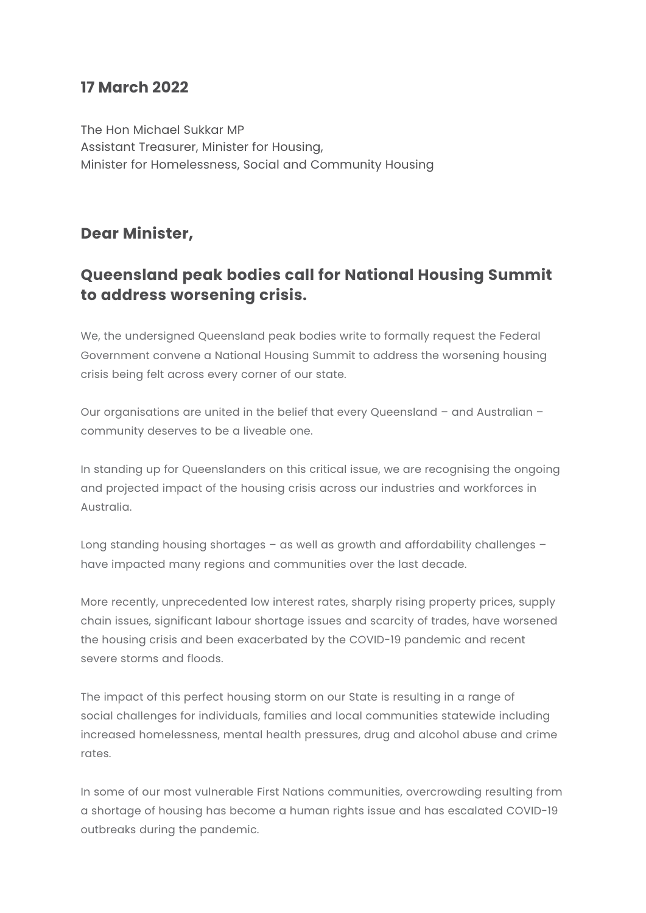## **17 March 2022**

The Hon Michael Sukkar MP Assistant Treasurer, Minister for Housing, Minister for Homelessness, Social and Community Housing

## **Dear Minister,**

## **Queensland peak bodies call for National Housing Summit to address worsening crisis.**

We, the undersigned Queensland peak bodies write to formally request the Federal Government convene a National Housing Summit to address the worsening housing crisis being felt across every corner of our state.

Our organisations are united in the belief that every Queensland – and Australian – community deserves to be a liveable one.

In standing up for Queenslanders on this critical issue, we are recognising the ongoing and projected impact of the housing crisis across our industries and workforces in Australia.

Long standing housing shortages – as well as growth and affordability challenges – have impacted many regions and communities over the last decade.

More recently, unprecedented low interest rates, sharply rising property prices, supply chain issues, significant labour shortage issues and scarcity of trades, have worsened the housing crisis and been exacerbated by the COVID-19 pandemic and recent severe storms and floods.

The impact of this perfect housing storm on our State is resulting in a range of social challenges for individuals, families and local communities statewide including increased homelessness, mental health pressures, drug and alcohol abuse and crime rates.

In some of our most vulnerable First Nations communities, overcrowding resulting from a shortage of housing has become a human rights issue and has escalated COVID-19 outbreaks during the pandemic.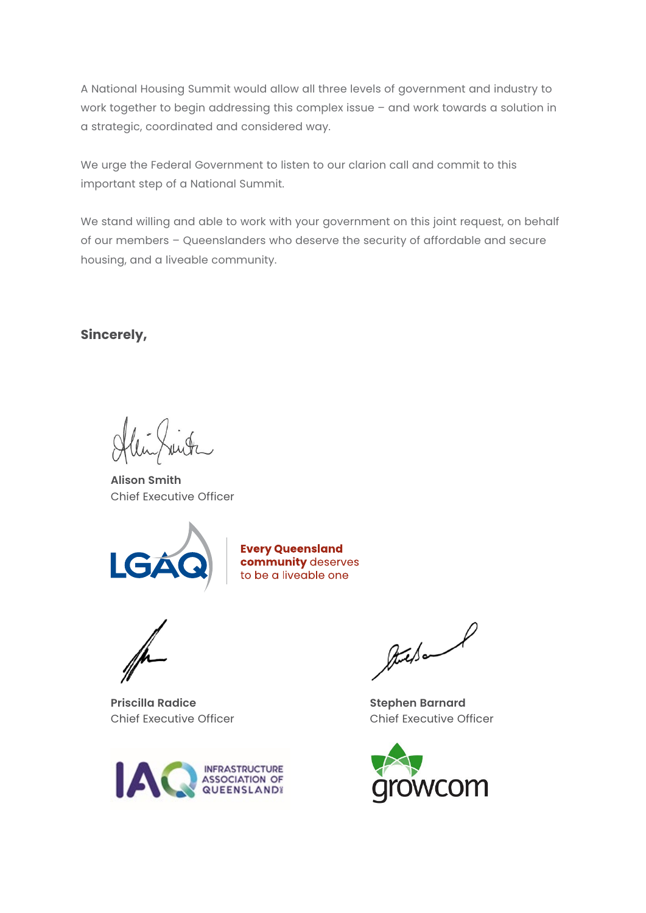A National Housing Summit would allow all three levels of government and industry to work together to begin addressing this complex issue – and work towards a solution in a strategic, coordinated and considered way.

We urge the Federal Government to listen to our clarion call and commit to this important step of a National Summit.

We stand willing and able to work with your government on this joint request, on behalf of our members – Queenslanders who deserve the security of affordable and secure housing, and a liveable community.

**Sincerely,**

**Alison Smith** Chief Executive Officer



**Every Queensland community** deserves to be a liveable one

**Priscilla Radice** Chief Executive Officer



Auctional

**Stephen Barnard** Chief Executive Officer